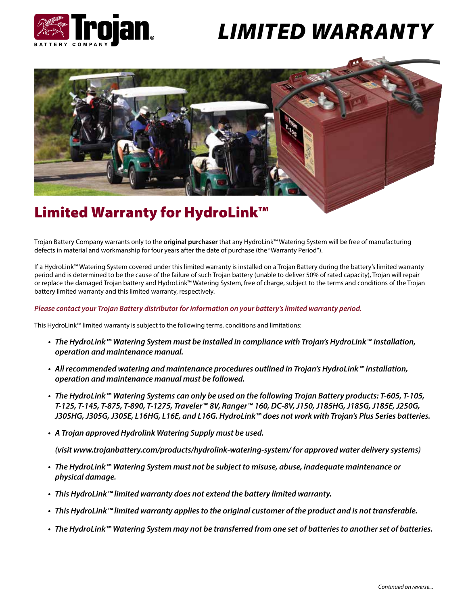

# *LIMITED WARRANTY*



## Limited Warranty for HydroLink™

Trojan Battery Company warrants only to the **original purchaser** that any HydroLink™ Watering System will be free of manufacturing defects in material and workmanship for four years after the date of purchase (the "Warranty Period").

If a HydroLink™ Watering System covered under this limited warranty is installed on a Trojan Battery during the battery's limited warranty period and is determined to be the cause of the failure of such Trojan battery (unable to deliver 50% of rated capacity), Trojan will repair or replace the damaged Trojan battery and HydroLink™ Watering System, free of charge, subject to the terms and conditions of the Trojan battery limited warranty and this limited warranty, respectively.

#### *Please contact your Trojan Battery distributor for information on your battery's limited warranty period.*

This HydroLink™ limited warranty is subject to the following terms, conditions and limitations:

- *The HydroLink™ Watering System must be installed in compliance with Trojan's HydroLink™ installation, operation and maintenance manual.*
- *All recommended watering and maintenance procedures outlined in Trojan's HydroLink™ installation, operation and maintenance manual must be followed.*
- *The HydroLink™ Watering Systems can only be used on the following Trojan Battery products: T-605, T-105, T-125, T-145, T-875, T-890, T-1275, Traveler™ 8V, Ranger™ 160, DC-8V, J150, J185HG, J185G, J185E, J250G, J305HG, J305G, J305E, L16HG, L16E, and L16G. HydroLink™ does not work with Trojan's Plus Series batteries.*
- *• A Trojan approved Hydrolink Watering Supply must be used.*

 *(visit www.trojanbattery.com/products/hydrolink-watering-system/ for approved water delivery systems)*

- *The HydroLink™ Watering System must not be subject to misuse, abuse, inadequate maintenance or physical damage.*
- *• This HydroLink™ limited warranty does not extend the battery limited warranty.*
- *• This HydroLink™ limited warranty applies to the original customer of the product and is not transferable.*
- *• The HydroLink™ Watering System may not be transferred from one set of batteries to another set of batteries.*